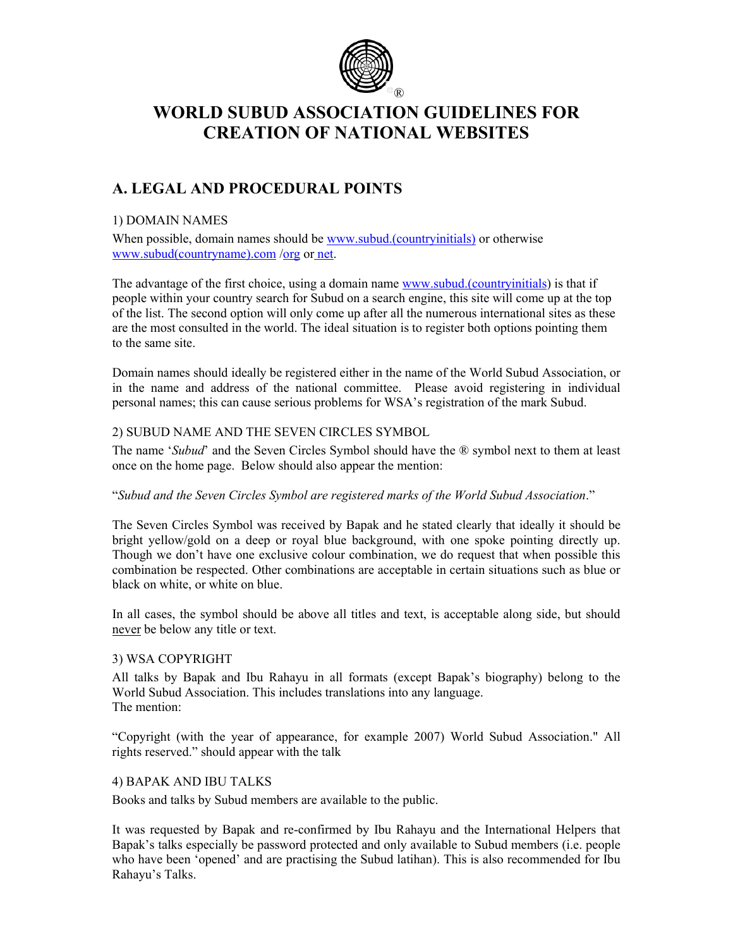

# **WORLD SUBUD ASSOCIATION GUIDELINES FOR CREATION OF NATIONAL WEBSITES**

# **A. LEGAL AND PROCEDURAL POINTS**

### 1) DOMAIN NAMES

When possible, domain names should be www.subud.(countryinitials) or otherwise www.subud(countryname).com /org or net.

The advantage of the first choice, using a domain name www.subud.(countryinitials) is that if people within your country search for Subud on a search engine, this site will come up at the top of the list. The second option will only come up after all the numerous international sites as these are the most consulted in the world. The ideal situation is to register both options pointing them to the same site.

Domain names should ideally be registered either in the name of the World Subud Association, or in the name and address of the national committee. Please avoid registering in individual personal names; this can cause serious problems for WSA's registration of the mark Subud.

#### 2) SUBUD NAME AND THE SEVEN CIRCLES SYMBOL

The name '*Subud*' and the Seven Circles Symbol should have the ® symbol next to them at least once on the home page. Below should also appear the mention:

#### "*Subud and the Seven Circles Symbol are registered marks of the World Subud Association*."

The Seven Circles Symbol was received by Bapak and he stated clearly that ideally it should be bright yellow/gold on a deep or royal blue background, with one spoke pointing directly up. Though we don't have one exclusive colour combination, we do request that when possible this combination be respected. Other combinations are acceptable in certain situations such as blue or black on white, or white on blue.

In all cases, the symbol should be above all titles and text, is acceptable along side, but should never be below any title or text.

### 3) WSA COPYRIGHT

All talks by Bapak and Ibu Rahayu in all formats (except Bapak's biography) belong to the World Subud Association. This includes translations into any language. The mention:

"Copyright (with the year of appearance, for example 2007) World Subud Association." All rights reserved." should appear with the talk

#### 4) BAPAK AND IBU TALKS

Books and talks by Subud members are available to the public.

It was requested by Bapak and re-confirmed by Ibu Rahayu and the International Helpers that Bapak's talks especially be password protected and only available to Subud members (i.e. people who have been 'opened' and are practising the Subud latihan). This is also recommended for Ibu Rahayu's Talks.